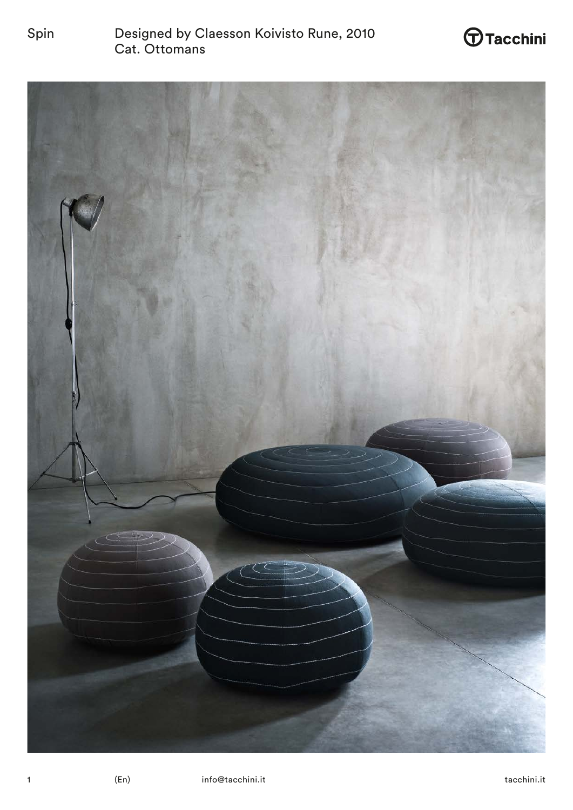

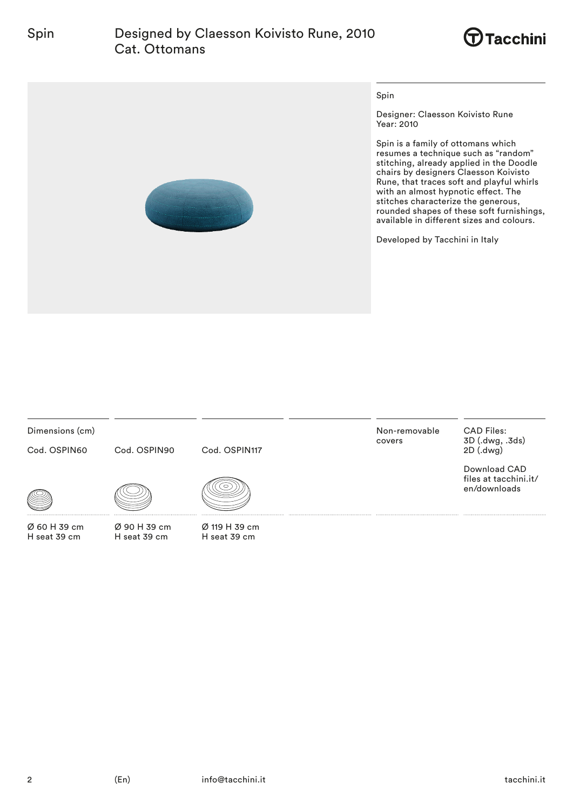# Spin Designed by Claesson Koivisto Rune, 2010 Cat. Ottomans





### Spin

Designer: Claesson Koivisto Rune Year: 2010

Spin is a family of ottomans which resumes a technique such as "random" stitching, already applied in the Doodle chairs by designers Claesson Koivisto Rune, that traces soft and playful whirls with an almost hypnotic effect. The stitches characterize the generous, rounded shapes of these soft furnishings, available in different sizes and colours.

Developed by Tacchini in Italy

Dimensions (cm)

Cod. OSPIN60

Cod. OSPIN90

Cod. OSPIN117





Ø 90 H 39 cm H seat 39 cm



Ø 119 H 39 cm H seat 39 cm

Non-removable covers

CAD Files: 3D (.dwg, .3ds) 2D (.dwg)

Download CAD files at tacchini.it/ en/downloads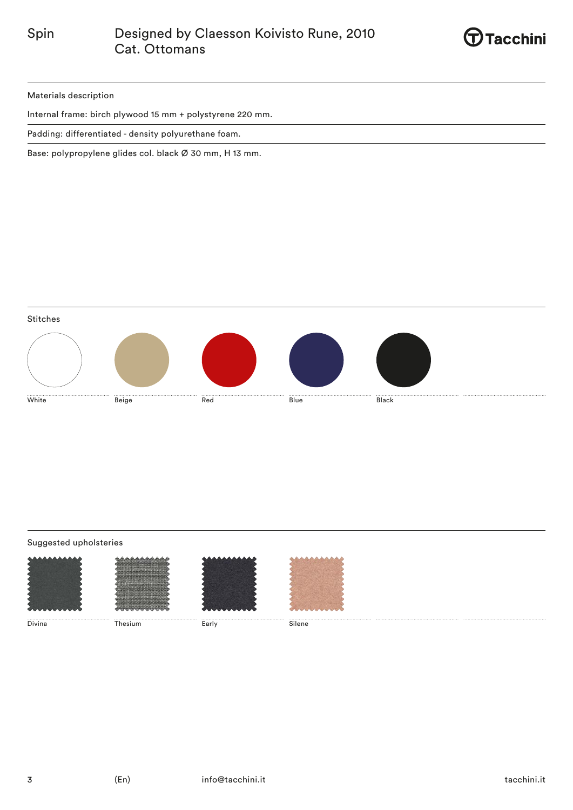

Materials description

Internal frame: birch plywood 15 mm + polystyrene 220 mm.

Padding: differentiated - density polyurethane foam.

Base: polypropylene glides col. black Ø 30 mm, H 13 mm.



## Suggested upholsteries

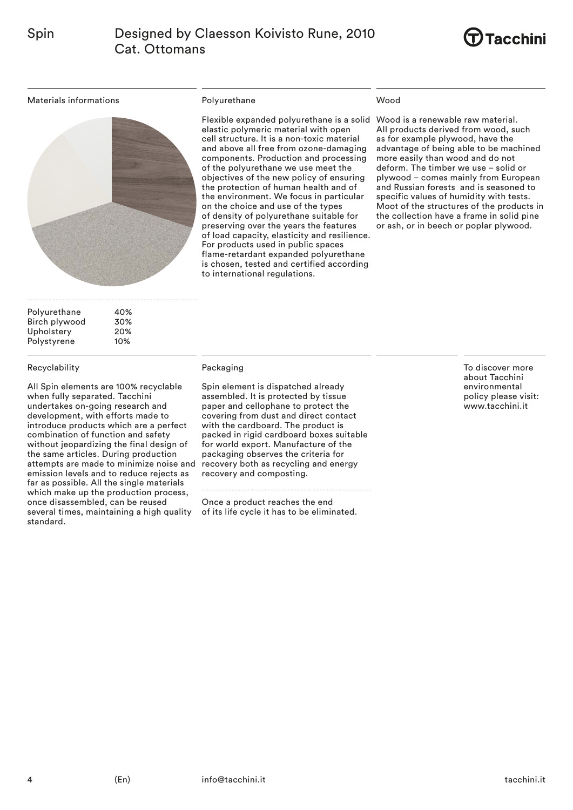

Materials informations



Polyurethane 40%<br>Birch plywood 30% Birch plywood Upholstery 20%<br>Polystyrene 10% Polystyrene

### Recyclability

All Spin elements are 100% recyclable when fully separated. Tacchini undertakes on-going research and development, with efforts made to introduce products which are a perfect combination of function and safety without jeopardizing the final design of the same articles. During production attempts are made to minimize noise and emission levels and to reduce rejects as far as possible. All the single materials which make up the production process, once disassembled, can be reused several times, maintaining a high quality standard.

## Polyurethane

Flexible expanded polyurethane is a solid Wood is a renewable raw material. elastic polymeric material with open cell structure. It is a non-toxic material and above all free from ozone-damaging components. Production and processing of the polyurethane we use meet the objectives of the new policy of ensuring the protection of human health and of the environment. We focus in particular on the choice and use of the types of density of polyurethane suitable for preserving over the years the features of load capacity, elasticity and resilience. For products used in public spaces flame-retardant expanded polyurethane is chosen, tested and certified according to international regulations.

### Wood

All products derived from wood, such as for example plywood, have the advantage of being able to be machined more easily than wood and do not deform. The timber we use – solid or plywood – comes mainly from European and Russian forests and is seasoned to specific values of humidity with tests. Moot of the structures of the products in the collection have a frame in solid pine or ash, or in beech or poplar plywood.

#### Packaging

Spin element is dispatched already assembled. It is protected by tissue paper and cellophane to protect the covering from dust and direct contact with the cardboard. The product is packed in rigid cardboard boxes suitable for world export. Manufacture of the packaging observes the criteria for recovery both as recycling and energy recovery and composting.

Once a product reaches the end of its life cycle it has to be eliminated. To discover more about Tacchini environmental policy please visit: www.tacchini.it